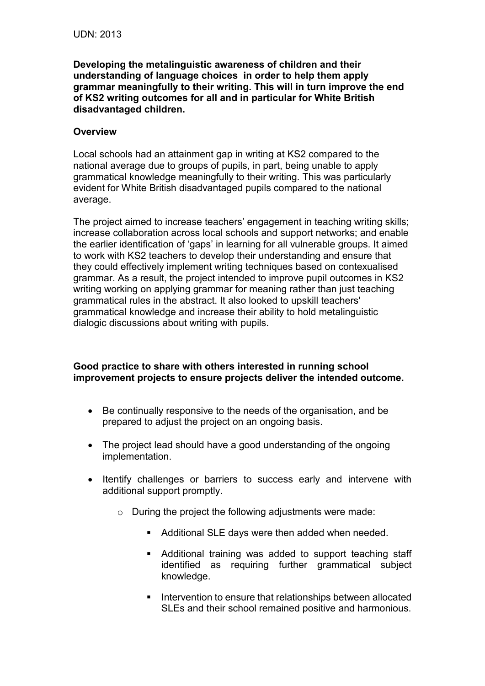**Developing the metalinguistic awareness of children and their understanding of language choices in order to help them apply grammar meaningfully to their writing. This will in turn improve the end of KS2 writing outcomes for all and in particular for White British disadvantaged children.** 

## **Overview**

Local schools had an attainment gap in writing at KS2 compared to the national average due to groups of pupils, in part, being unable to apply grammatical knowledge meaningfully to their writing. This was particularly evident for White British disadvantaged pupils compared to the national average.

The project aimed to increase teachers' engagement in teaching writing skills; increase collaboration across local schools and support networks; and enable the earlier identification of 'gaps' in learning for all vulnerable groups. It aimed to work with KS2 teachers to develop their understanding and ensure that they could effectively implement writing techniques based on contexualised grammar. As a result, the project intended to improve pupil outcomes in KS2 writing working on applying grammar for meaning rather than just teaching grammatical rules in the abstract. It also looked to upskill teachers' grammatical knowledge and increase their ability to hold metalinguistic dialogic discussions about writing with pupils.

## **Good practice to share with others interested in running school improvement projects to ensure projects deliver the intended outcome.**

- Be continually responsive to the needs of the organisation, and be prepared to adjust the project on an ongoing basis.
- The project lead should have a good understanding of the ongoing implementation.
- Itentify challenges or barriers to success early and intervene with additional support promptly.
	- o During the project the following adjustments were made:
		- Additional SLE days were then added when needed.
		- Additional training was added to support teaching staff identified as requiring further grammatical subject knowledge.
		- Intervention to ensure that relationships between allocated SLEs and their school remained positive and harmonious.